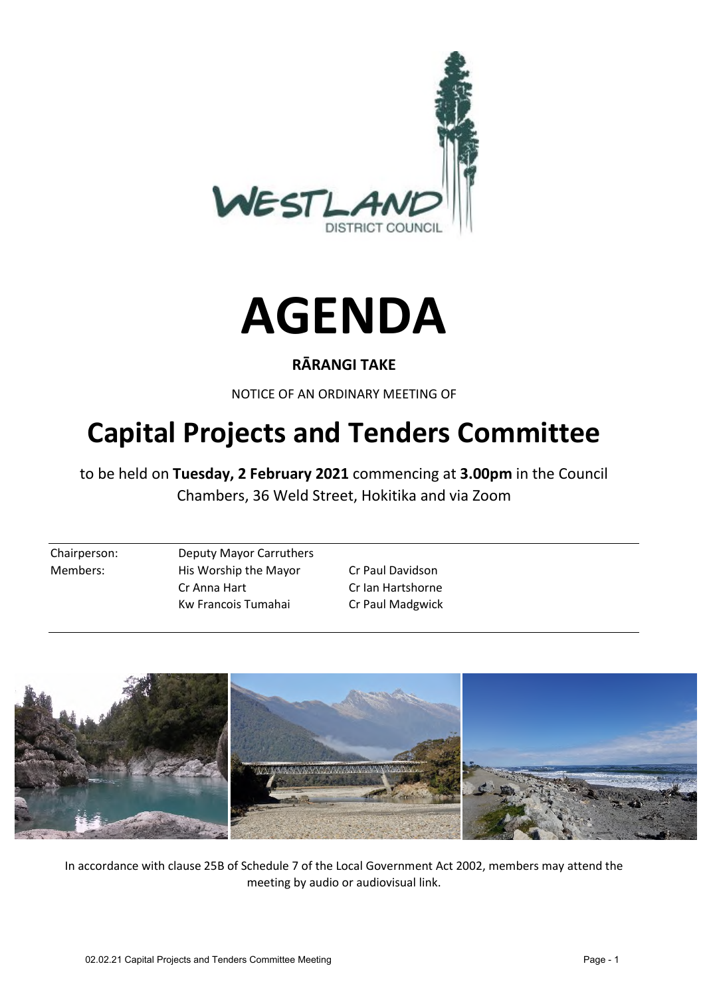



#### **RĀRANGI TAKE**

NOTICE OF AN ORDINARY MEETING OF

# **Capital Projects and Tenders Committee**

to be held on **Tuesday, 2 February 2021** commencing at **3.00pm** in the Council Chambers, 36 Weld Street, Hokitika and via Zoom

Chairperson: Deputy Mayor Carruthers Members: His Worship the Mayor Cr Paul Davidson Cr Anna Hart Cr Ian Hartshorne Kw Francois Tumahai Cr Paul Madgwick



In accordance with clause 25B of Schedule 7 of the Local Government Act 2002, members may attend the meeting by audio or audiovisual link.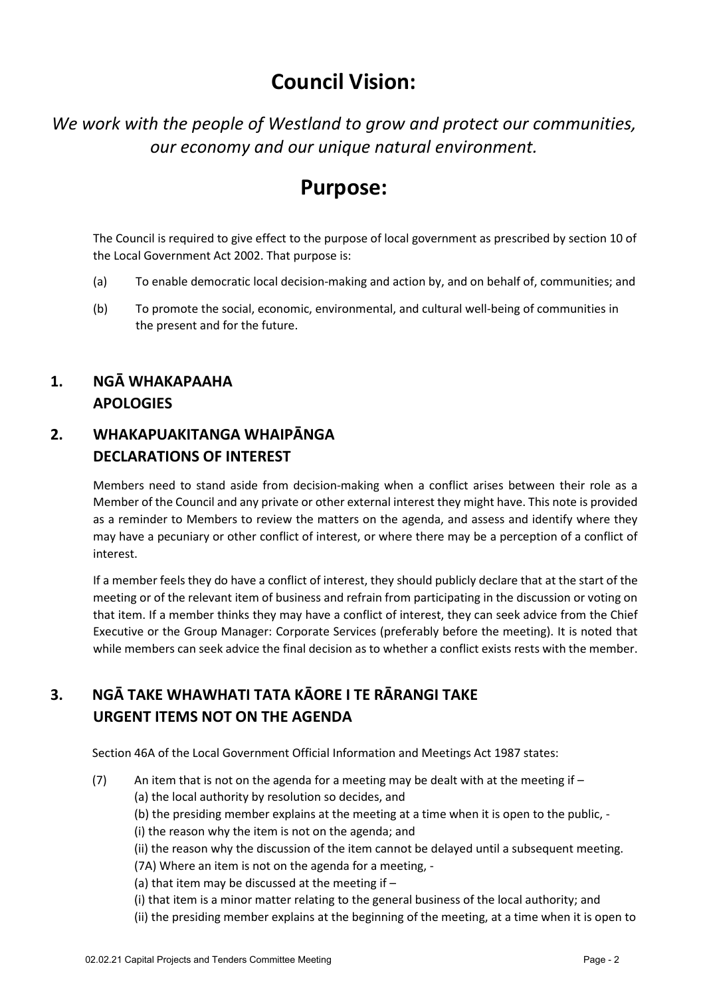# **Council Vision:**

*We work with the people of Westland to grow and protect our communities, our economy and our unique natural environment.* 

## **Purpose:**

The Council is required to give effect to the purpose of local government as prescribed by section 10 of the Local Government Act 2002. That purpose is:

- (a) To enable democratic local decision-making and action by, and on behalf of, communities; and
- (b) To promote the social, economic, environmental, and cultural well-being of communities in the present and for the future.

#### **1. NGĀ WHAKAPAAHA APOLOGIES**

#### **2. WHAKAPUAKITANGA WHAIPĀNGA DECLARATIONS OF INTEREST**

Members need to stand aside from decision-making when a conflict arises between their role as a Member of the Council and any private or other external interest they might have. This note is provided as a reminder to Members to review the matters on the agenda, and assess and identify where they may have a pecuniary or other conflict of interest, or where there may be a perception of a conflict of interest.

If a member feels they do have a conflict of interest, they should publicly declare that at the start of the meeting or of the relevant item of business and refrain from participating in the discussion or voting on that item. If a member thinks they may have a conflict of interest, they can seek advice from the Chief Executive or the Group Manager: Corporate Services (preferably before the meeting). It is noted that while members can seek advice the final decision as to whether a conflict exists rests with the member.

#### **3. NGĀ TAKE WHAWHATI TATA KĀORE I TE RĀRANGI TAKE URGENT ITEMS NOT ON THE AGENDA**

Section 46A of the Local Government Official Information and Meetings Act 1987 states:

- (7) An item that is not on the agenda for a meeting may be dealt with at the meeting if  $-$ 
	- (a) the local authority by resolution so decides, and
	- (b) the presiding member explains at the meeting at a time when it is open to the public, -
	- (i) the reason why the item is not on the agenda; and

(ii) the reason why the discussion of the item cannot be delayed until a subsequent meeting.

(7A) Where an item is not on the agenda for a meeting, -

- (a) that item may be discussed at the meeting if –
- (i) that item is a minor matter relating to the general business of the local authority; and
- (ii) the presiding member explains at the beginning of the meeting, at a time when it is open to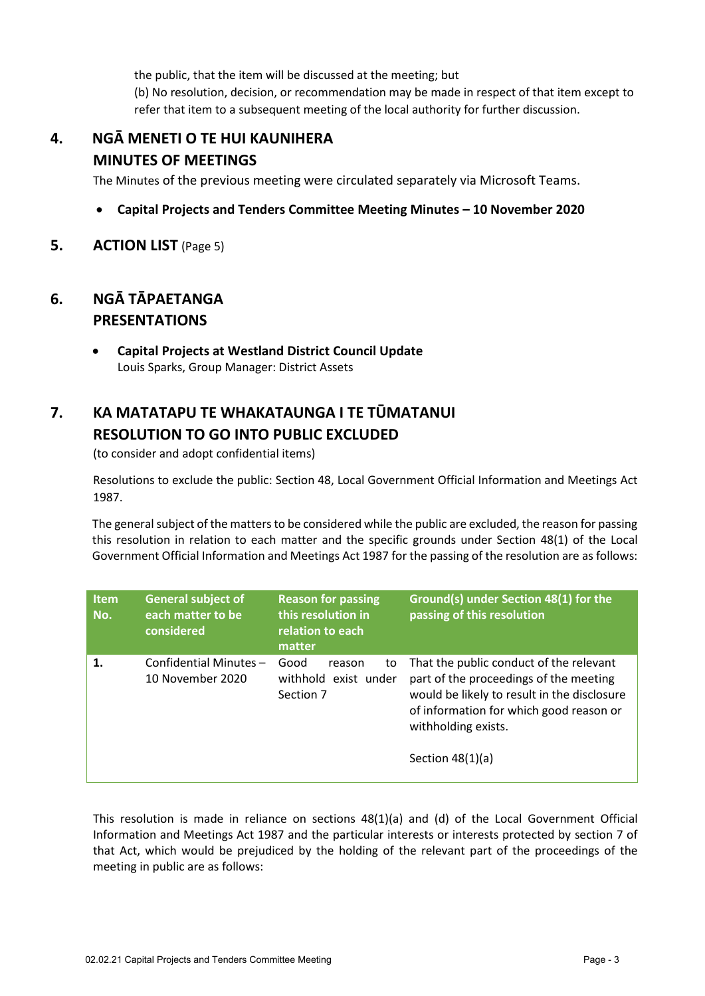the public, that the item will be discussed at the meeting; but (b) No resolution, decision, or recommendation may be made in respect of that item except to refer that item to a subsequent meeting of the local authority for further discussion.

## **4. NGĀ MENETI O TE HUI KAUNIHERA MINUTES OF MEETINGS**

The Minutes of the previous meeting were circulated separately via Microsoft Teams.

- **Capital Projects and Tenders Committee Meeting Minutes – 10 November 2020**
- **5. ACTION LIST** (Page 5)

#### **6. NGĀ TĀPAETANGA PRESENTATIONS**

 **Capital Projects at Westland District Council Update** Louis Sparks, Group Manager: District Assets

## **7. KA MATATAPU TE WHAKATAUNGA I TE TŪMATANUI RESOLUTION TO GO INTO PUBLIC EXCLUDED**

(to consider and adopt confidential items)

Resolutions to exclude the public: Section 48, Local Government Official Information and Meetings Act 1987.

The general subject of the matters to be considered while the public are excluded, the reason for passing this resolution in relation to each matter and the specific grounds under Section 48(1) of the Local Government Official Information and Meetings Act 1987 for the passing of the resolution are as follows:

| <b>Item</b><br>No. | <b>General subject of</b><br>each matter to be<br>considered | <b>Reason for passing</b><br>this resolution in<br>relation to each<br>matter | Ground(s) under Section 48(1) for the<br>passing of this resolution                                                                                                                                                      |
|--------------------|--------------------------------------------------------------|-------------------------------------------------------------------------------|--------------------------------------------------------------------------------------------------------------------------------------------------------------------------------------------------------------------------|
| 1.                 | Confidential Minutes-<br>10 November 2020                    | Good<br>reason<br>to<br>withhold exist under<br>Section 7                     | That the public conduct of the relevant<br>part of the proceedings of the meeting<br>would be likely to result in the disclosure<br>of information for which good reason or<br>withholding exists.<br>Section $48(1)(a)$ |

This resolution is made in reliance on sections 48(1)(a) and (d) of the Local Government Official Information and Meetings Act 1987 and the particular interests or interests protected by section 7 of that Act, which would be prejudiced by the holding of the relevant part of the proceedings of the meeting in public are as follows: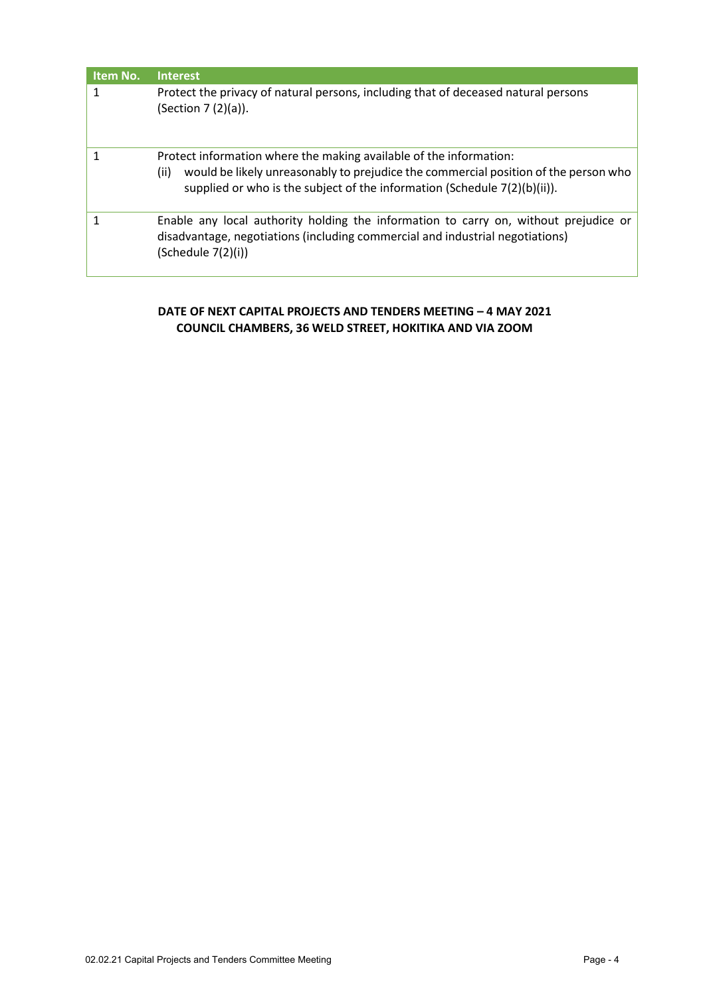| Item No. | <b>Interest</b>                                                                                                                                                                                                                                   |
|----------|---------------------------------------------------------------------------------------------------------------------------------------------------------------------------------------------------------------------------------------------------|
|          | Protect the privacy of natural persons, including that of deceased natural persons<br>(Section 7 (2)(a)).                                                                                                                                         |
|          | Protect information where the making available of the information:<br>would be likely unreasonably to prejudice the commercial position of the person who<br>(ii)<br>supplied or who is the subject of the information (Schedule $7(2)(b)(ii)$ ). |
|          | Enable any local authority holding the information to carry on, without prejudice or<br>disadvantage, negotiations (including commercial and industrial negotiations)<br>(Schedule 7(2)(i))                                                       |

#### **DATE OF NEXT CAPITAL PROJECTS AND TENDERS MEETING – 4 MAY 2021 COUNCIL CHAMBERS, 36 WELD STREET, HOKITIKA AND VIA ZOOM**